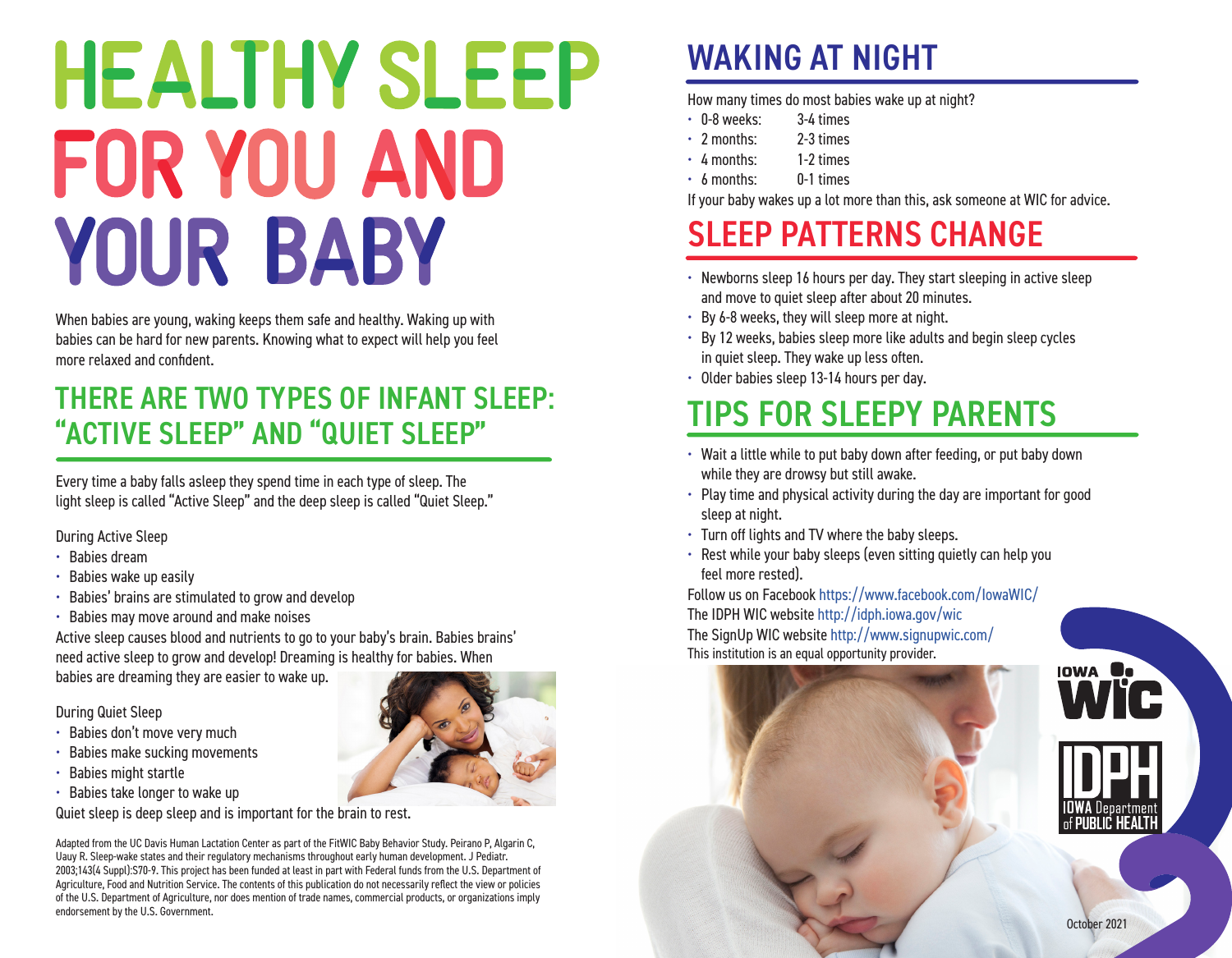# **HEALTHY SLEEP** FOR YOU AND YOUR BABY

When babies are young, waking keeps them safe and healthy. Waking up with babies can be hard for new parents. Knowing what to expect will help you feel more relaxed and confident.

### THERE ARE TWO TYPES OF INFANT SLEEP: "ACTIVE SLEEP" AND "QUIET SLEEP"

Every time a baby falls asleep they spend time in each type of sleep. The light sleep is called "Active Sleep" and the deep sleep is called "Quiet Sleep."

During Active Sleep

- Babies dream
- Babies wake up easily
- Babies' brains are stimulated to grow and develop
- Babies may move around and make noises

Active sleep causes blood and nutrients to go to your baby's brain. Babies brains' need active sleep to grow and develop! Dreaming is healthy for babies. When

babies are dreaming they are easier to wake up.

During Quiet Sleep

- Babies don't move very much
- Babies make sucking movements
- Babies might startle
- Babies take longer to wake up

Quiet sleep is deep sleep and is important for the brain to rest.

Adapted from the UC Davis Human Lactation Center as part of the FitWIC Baby Behavior Study. Peirano P, Algarin C, Uauy R. Sleep-wake states and their regulatory mechanisms throughout early human development. J Pediatr. 2003;143(4 Suppl):S70-9. This project has been funded at least in part with Federal funds from the U.S. Department of Agriculture, Food and Nutrition Service. The contents of this publication do not necessarily reflect the view or policies of the U.S. Department of Agriculture, nor does mention of trade names, commercial products, or organizations imply endorsement by the U.S. Government.

## WAKING AT NIGHT

How many times do most babies wake up at night?

- 0-8 weeks: 3-4 times
- 2 months: 2-3 times
- 4 months: 1-2 times
- 6 months: 0-1 times

If your baby wakes up a lot more than this, ask someone at WIC for advice.

## SLEEP PATTERNS CHANGE

- Newborns sleep 16 hours per day. They start sleeping in active sleep and move to quiet sleep after about 20 minutes.
- By 6-8 weeks, they will sleep more at night.
- By 12 weeks, babies sleep more like adults and begin sleep cycles in quiet sleep. They wake up less often.
- Older babies sleep 13-14 hours per day.

## TIPS FOR SLEEPY PARENTS

- Wait a little while to put baby down after feeding, or put baby down while they are drowsy but still awake.
- Play time and physical activity during the day are important for good sleep at night.
- Turn off lights and TV where the baby sleeps.
- Rest while your baby sleeps (even sitting quietly can help you feel more rested).

Follow us on Facebook <https://www.facebook.com/IowaWIC/> The IDPH WIC website <http://idph.iowa.gov/wic> The SignUp WIC website<http://www.signupwic.com/> This institution is an equal opportunity provider.